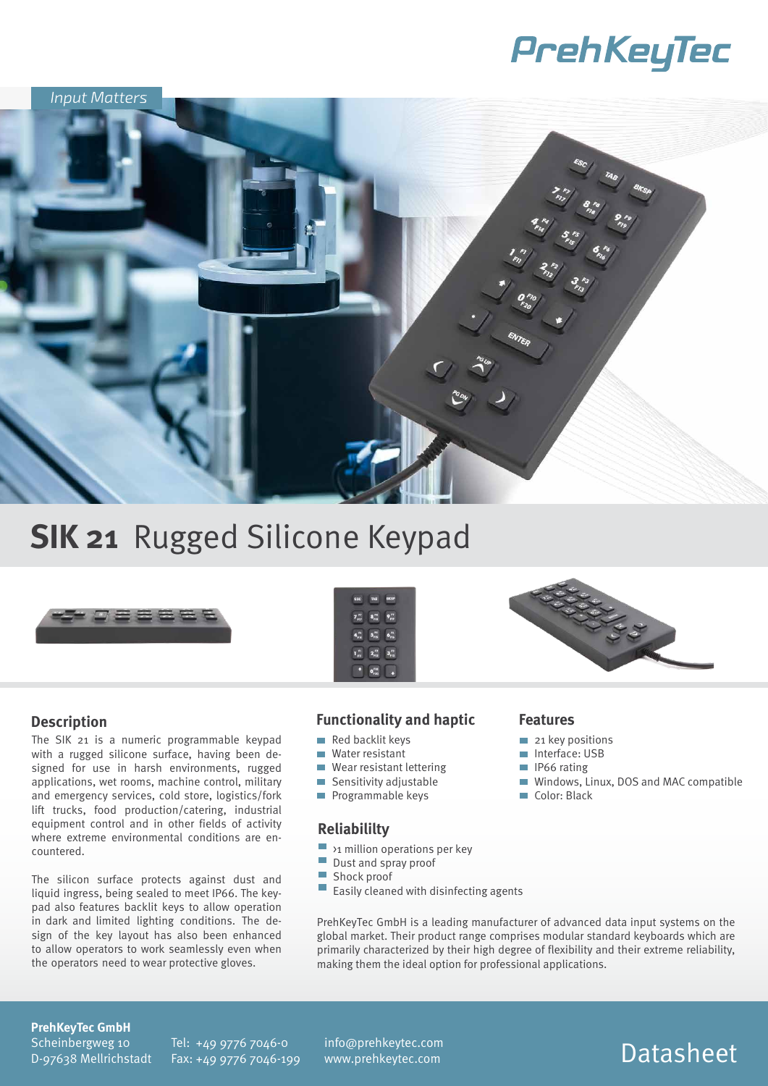# PrehKeyTec



## **SIK 21 Rugged Silicone Keypad**



### **Description**

The SIK 21 is a numeric programmable keypad with a rugged silicone surface, having been designed for use in harsh environments, rugged applications, wet rooms, machine control, military and emergency services, cold store, logistics/fork lift trucks, food production/catering, industrial equipment control and in other fields of activity where extreme environmental conditions are encountered.

The silicon surface protects against dust and liquid ingress, being sealed to meet IP66. The keypad also features backlit keys to allow operation in dark and limited lighting conditions. The design of the key layout has also been enhanced to allow operators to work seamlessly even when the operators need to wear protective gloves.

### $7\frac{m}{m}$   $8\frac{m}{m}$   $9\frac{m}{m}$  $4\frac{n}{n}$   $5\frac{n}{n}$   $6\frac{n}{n}$  $\begin{array}{ccc} 1\ \textrm{m} & 2\ \textrm{m} & 3\textrm{m} \end{array}$  $\boxed{0^{FB}_{FB}}$

### **Functionality and haptic**

- $\blacksquare$  Red backlit keys
- Water resistant
- Wear resistant lettering
- $\blacksquare$  Sensitivity adjustable
- **Programmable keys**

### **Reliabililty**

- $\blacksquare$  >1 million operations per key
- $\sim$ Dust and spray proof
- **I** Shock proof
- $\mathcal{L}_{\mathcal{A}}$ Easily cleaned with disinfecting agents

PrehKeyTec GmbH is a leading manufacturer of advanced data input systems on the global market. Their product range comprises modular standard keyboards which are primarily characterized by their high degree of flexibility and their extreme reliability, making them the ideal option for professional applications.

#### **Features**

- 21 key positions
- Interface: USB
- IP66 rating
- Windows, Linux, DOS and MAC compatible
- Color: Black

#### **PrehKeyTec GmbH**

Scheinbergweg 10 D-97638 Mellrichstadt Tel: +49 9776 7046-0 Fax: +49 9776 7046-199 Datasheet info@prehkeytec.com www.prehkeytec.com